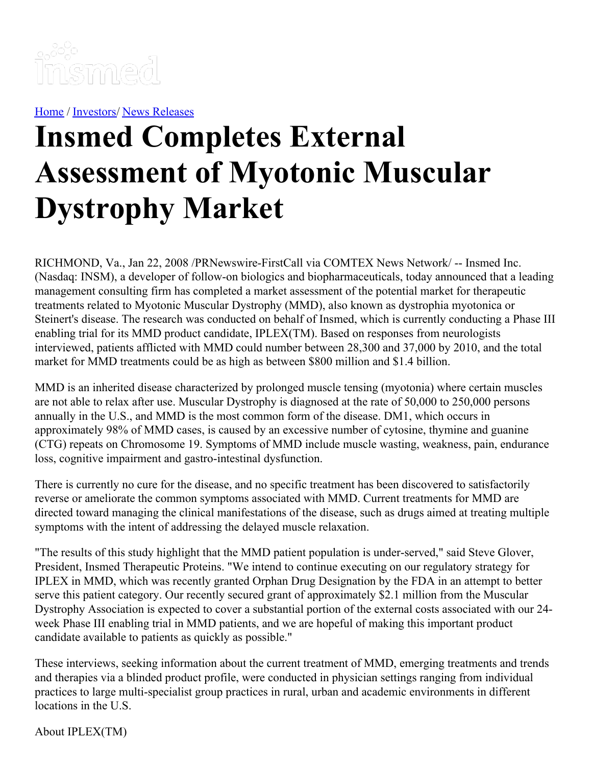

[Home](https://insmed.com/) / [Investors](https://investor.insmed.com/index)/ News [Releases](https://investor.insmed.com/releases)

## **Insmed Completes External Assessment of Myotonic Muscular Dystrophy Market**

RICHMOND, Va., Jan 22, 2008 /PRNewswire-FirstCall via COMTEX News Network/ -- Insmed Inc. (Nasdaq: INSM), a developer of follow-on biologics and biopharmaceuticals, today announced that a leading management consulting firm has completed a market assessment of the potential market for therapeutic treatments related to Myotonic Muscular Dystrophy (MMD), also known as dystrophia myotonica or Steinert's disease. The research was conducted on behalf of Insmed, which is currently conducting a Phase III enabling trial for its MMD product candidate, IPLEX(TM). Based on responses from neurologists interviewed, patients afflicted with MMD could number between 28,300 and 37,000 by 2010, and the total market for MMD treatments could be as high as between \$800 million and \$1.4 billion.

MMD is an inherited disease characterized by prolonged muscle tensing (myotonia) where certain muscles are not able to relax after use. Muscular Dystrophy is diagnosed at the rate of 50,000 to 250,000 persons annually in the U.S., and MMD is the most common form of the disease. DM1, which occurs in approximately 98% of MMD cases, is caused by an excessive number of cytosine, thymine and guanine (CTG) repeats on Chromosome 19. Symptoms of MMD include muscle wasting, weakness, pain, endurance loss, cognitive impairment and gastro-intestinal dysfunction.

There is currently no cure for the disease, and no specific treatment has been discovered to satisfactorily reverse or ameliorate the common symptoms associated with MMD. Current treatments for MMD are directed toward managing the clinical manifestations of the disease, such as drugs aimed at treating multiple symptoms with the intent of addressing the delayed muscle relaxation.

"The results of this study highlight that the MMD patient population is under-served," said Steve Glover, President, Insmed Therapeutic Proteins. "We intend to continue executing on our regulatory strategy for IPLEX in MMD, which was recently granted Orphan Drug Designation by the FDA in an attempt to better serve this patient category. Our recently secured grant of approximately \$2.1 million from the Muscular Dystrophy Association is expected to cover a substantial portion of the external costs associated with our 24 week Phase III enabling trial in MMD patients, and we are hopeful of making this important product candidate available to patients as quickly as possible."

These interviews, seeking information about the current treatment of MMD, emerging treatments and trends and therapies via a blinded product profile, were conducted in physician settings ranging from individual practices to large multi-specialist group practices in rural, urban and academic environments in different locations in the U.S.

About IPLEX(TM)